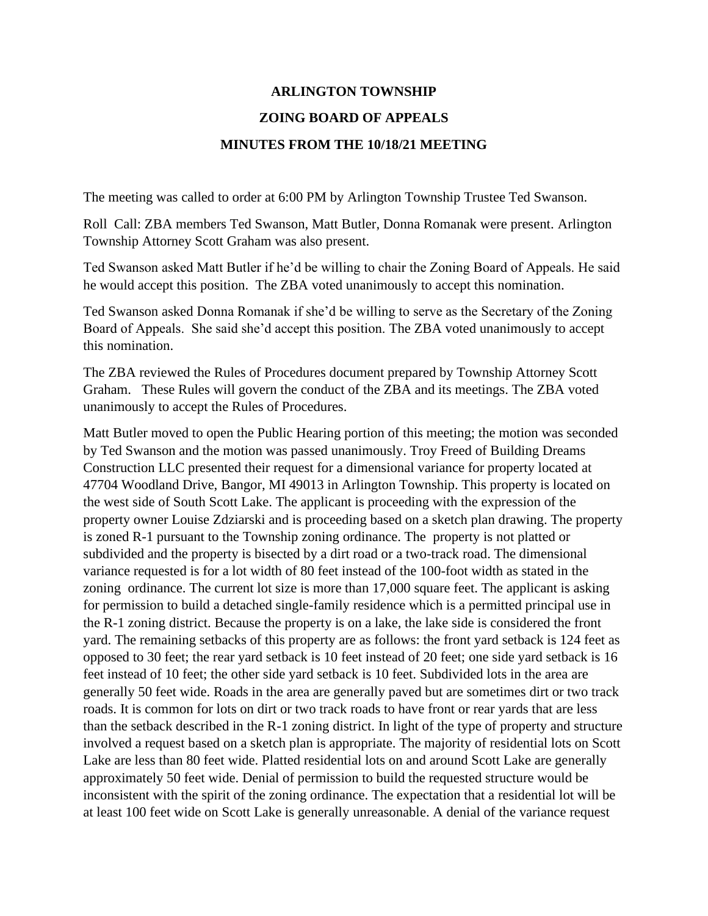## **ARLINGTON TOWNSHIP ZOING BOARD OF APPEALS MINUTES FROM THE 10/18/21 MEETING**

The meeting was called to order at 6:00 PM by Arlington Township Trustee Ted Swanson.

Roll Call: ZBA members Ted Swanson, Matt Butler, Donna Romanak were present. Arlington Township Attorney Scott Graham was also present.

Ted Swanson asked Matt Butler if he'd be willing to chair the Zoning Board of Appeals. He said he would accept this position. The ZBA voted unanimously to accept this nomination.

Ted Swanson asked Donna Romanak if she'd be willing to serve as the Secretary of the Zoning Board of Appeals. She said she'd accept this position. The ZBA voted unanimously to accept this nomination.

The ZBA reviewed the Rules of Procedures document prepared by Township Attorney Scott Graham. These Rules will govern the conduct of the ZBA and its meetings. The ZBA voted unanimously to accept the Rules of Procedures.

Matt Butler moved to open the Public Hearing portion of this meeting; the motion was seconded by Ted Swanson and the motion was passed unanimously. Troy Freed of Building Dreams Construction LLC presented their request for a dimensional variance for property located at 47704 Woodland Drive, Bangor, MI 49013 in Arlington Township. This property is located on the west side of South Scott Lake. The applicant is proceeding with the expression of the property owner Louise Zdziarski and is proceeding based on a sketch plan drawing. The property is zoned R-1 pursuant to the Township zoning ordinance. The property is not platted or subdivided and the property is bisected by a dirt road or a two-track road. The dimensional variance requested is for a lot width of 80 feet instead of the 100-foot width as stated in the zoning ordinance. The current lot size is more than 17,000 square feet. The applicant is asking for permission to build a detached single-family residence which is a permitted principal use in the R-1 zoning district. Because the property is on a lake, the lake side is considered the front yard. The remaining setbacks of this property are as follows: the front yard setback is 124 feet as opposed to 30 feet; the rear yard setback is 10 feet instead of 20 feet; one side yard setback is 16 feet instead of 10 feet; the other side yard setback is 10 feet. Subdivided lots in the area are generally 50 feet wide. Roads in the area are generally paved but are sometimes dirt or two track roads. It is common for lots on dirt or two track roads to have front or rear yards that are less than the setback described in the R-1 zoning district. In light of the type of property and structure involved a request based on a sketch plan is appropriate. The majority of residential lots on Scott Lake are less than 80 feet wide. Platted residential lots on and around Scott Lake are generally approximately 50 feet wide. Denial of permission to build the requested structure would be inconsistent with the spirit of the zoning ordinance. The expectation that a residential lot will be at least 100 feet wide on Scott Lake is generally unreasonable. A denial of the variance request